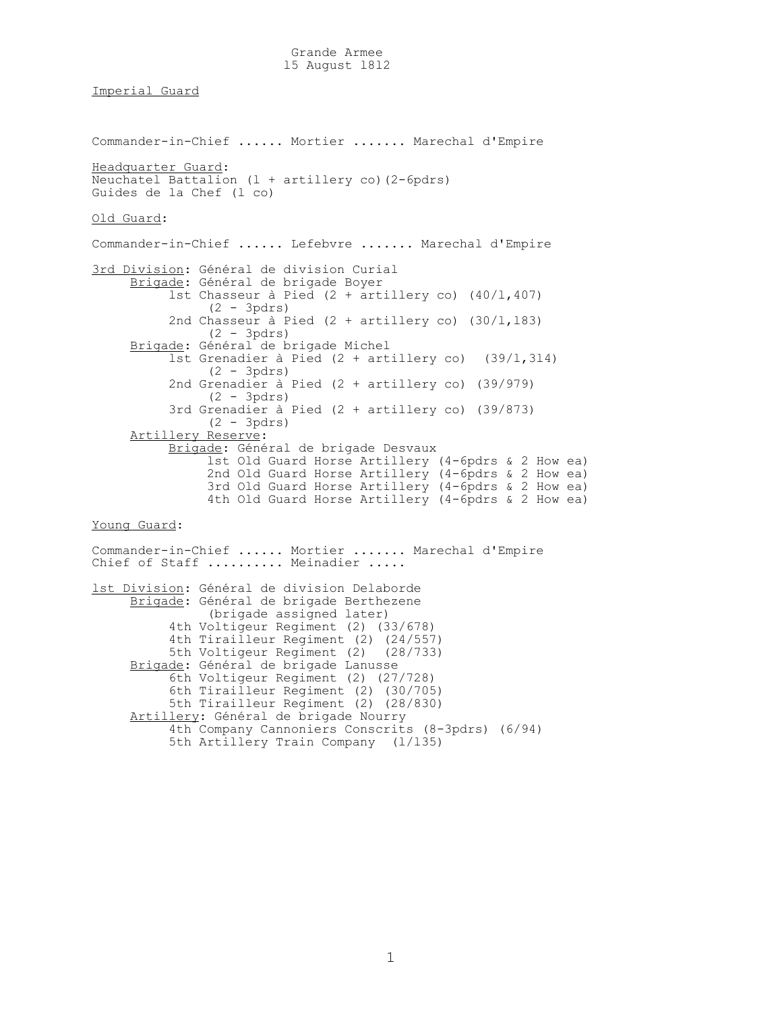## Imperial Guard

Commander-in-Chief ...... Mortier ....... Marechal d'Empire Headquarter Guard: Neuchatel Battalion (l + artillery co)(2-6pdrs) Guides de la Chef (l co) Old Guard: Commander-in-Chief ...... Lefebvre ....... Marechal d'Empire 3rd Division: Général de division Curial Brigade: Général de brigade Boyer lst Chasseur à Pied (2 + artillery co) (40/l,407) (2 - 3pdrs) 2nd Chasseur à Pied (2 + artillery co) (30/l,l83) (2 - 3pdrs) Brigade: Général de brigade Michel lst Grenadier à Pied (2 + artillery co) (39/l,3l4) (2 - 3pdrs) 2nd Grenadier à Pied (2 + artillery co) (39/979) (2 - 3pdrs) 3rd Grenadier à Pied (2 + artillery co) (39/873) (2 - 3pdrs) Artillery Reserve: Brigade: Général de brigade Desvaux lst Old Guard Horse Artillery (4-6pdrs & 2 How ea) 2nd Old Guard Horse Artillery (4-6pdrs & 2 How ea) 3rd Old Guard Horse Artillery (4-6pdrs & 2 How ea) 4th Old Guard Horse Artillery (4-6pdrs & 2 How ea) Young Guard: Commander-in-Chief ...... Mortier ....... Marechal d'Empire Chief of Staff .......... Meinadier ..... lst Division: Général de division Delaborde Brigade: Général de brigade Berthezene (brigade assigned later) 4th Voltigeur Regiment (2) (33/678) 4th Tirailleur Regiment (2) (24/557) 5th Voltigeur Regiment (2) (28/733) Brigade: Général de brigade Lanusse 6th Voltigeur Regiment (2) (27/728) 6th Tirailleur Regiment (2) (30/705) 5th Tirailleur Regiment (2) (28/830) Artillery: Général de brigade Nourry

 4th Company Cannoniers Conscrits (8-3pdrs) (6/94) 5th Artillery Train Company (l/l35)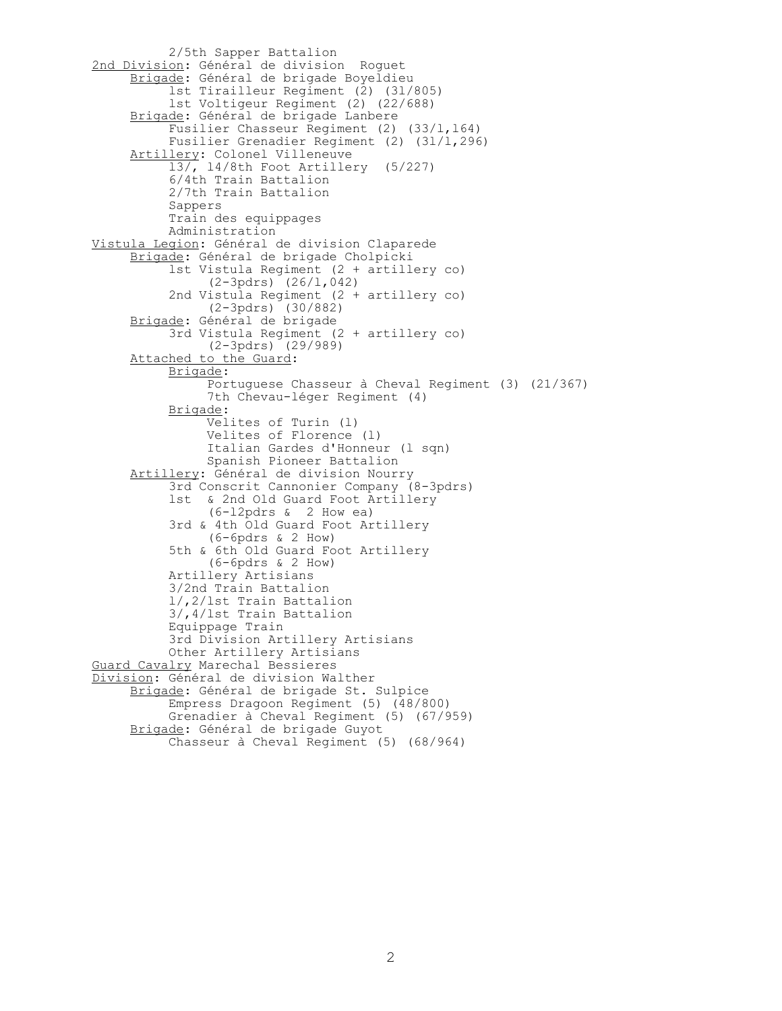2/5th Sapper Battalion 2nd Division: Général de division Roguet Brigade: Général de brigade Boyeldieu lst Tirailleur Regiment (2) (3l/805) lst Voltigeur Regiment (2) (22/688) Brigade: Général de brigade Lanbere Fusilier Chasseur Regiment (2) (33/1,164) Fusilier Grenadier Regiment (2) (3l/l,296) Artillery: Colonel Villeneuve l3/, l4/8th Foot Artillery (5/227) 6/4th Train Battalion 2/7th Train Battalion Sappers Train des equippages Administration Vistula Legion: Général de division Claparede Brigade: Général de brigade Cholpicki lst Vistula Regiment (2 + artillery co) (2-3pdrs) (26/l,042) 2nd Vistula Regiment (2 + artillery co) (2-3pdrs) (30/882) Brigade: Général de brigade 3rd Vistula Regiment (2 + artillery co) (2-3pdrs) (29/989) Attached to the Guard: Brigade: Portuguese Chasseur à Cheval Regiment (3) (21/367) 7th Chevau-léger Regiment (4) Brigade: Velites of Turin (l) Velites of Florence (l) Italian Gardes d'Honneur (l sqn) Spanish Pioneer Battalion Artillery: Général de division Nourry 3rd Conscrit Cannonier Company (8-3pdrs) lst & 2nd Old Guard Foot Artillery (6-l2pdrs & 2 How ea) 3rd & 4th Old Guard Foot Artillery (6-6pdrs & 2 How) 5th & 6th Old Guard Foot Artillery (6-6pdrs & 2 How) Artillery Artisians 3/2nd Train Battalion l/,2/lst Train Battalion 3/,4/lst Train Battalion Equippage Train 3rd Division Artillery Artisians Other Artillery Artisians Guard Cavalry Marechal Bessieres Division: Général de division Walther Brigade: Général de brigade St. Sulpice Empress Dragoon Regiment (5) (48/800) Grenadier à Cheval Regiment (5) (67/959) Brigade: Général de brigade Guyot Chasseur à Cheval Regiment (5) (68/964)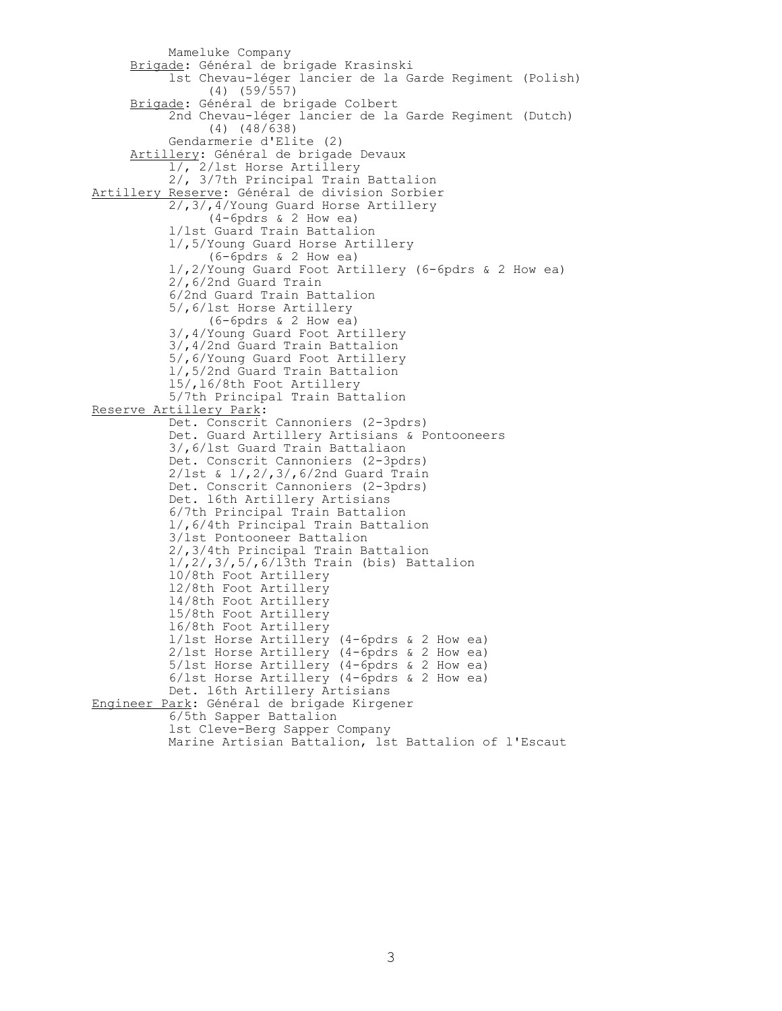Mameluke Company Brigade: Général de brigade Krasinski lst Chevau-léger lancier de la Garde Regiment (Polish) (4) (59/557) Brigade: Général de brigade Colbert 2nd Chevau-léger lancier de la Garde Regiment (Dutch) (4) (48/638) Gendarmerie d'Elite (2) Artillery: Général de brigade Devaux l/, 2/lst Horse Artillery 2/, 3/7th Principal Train Battalion Artillery Reserve: Général de division Sorbier 2/,3/,4/Young Guard Horse Artillery (4-6pdrs & 2 How ea) l/lst Guard Train Battalion l/,5/Young Guard Horse Artillery (6-6pdrs & 2 How ea) l/,2/Young Guard Foot Artillery (6-6pdrs & 2 How ea) 2/,6/2nd Guard Train 6/2nd Guard Train Battalion 5/,6/lst Horse Artillery (6-6pdrs & 2 How ea) 3/,4/Young Guard Foot Artillery 3/,4/2nd Guard Train Battalion 5/,6/Young Guard Foot Artillery l/,5/2nd Guard Train Battalion l5/,l6/8th Foot Artillery 5/7th Principal Train Battalion Reserve Artillery Park: Det. Conscrit Cannoniers (2-3pdrs) Det. Guard Artillery Artisians & Pontooneers 3/,6/lst Guard Train Battaliaon Det. Conscrit Cannoniers (2-3pdrs) 2/lst & l/,2/,3/,6/2nd Guard Train Det. Conscrit Cannoniers (2-3pdrs) Det. l6th Artillery Artisians 6/7th Principal Train Battalion l/,6/4th Principal Train Battalion 3/lst Pontooneer Battalion 2/,3/4th Principal Train Battalion l/,2/,3/,5/,6/l3th Train (bis) Battalion l0/8th Foot Artillery l2/8th Foot Artillery l4/8th Foot Artillery l5/8th Foot Artillery l6/8th Foot Artillery l/lst Horse Artillery (4-6pdrs & 2 How ea) 2/lst Horse Artillery (4-6pdrs & 2 How ea) 5/lst Horse Artillery (4-6pdrs & 2 How ea) 6/lst Horse Artillery (4-6pdrs & 2 How ea) Det. l6th Artillery Artisians Engineer Park: Général de brigade Kirgener 6/5th Sapper Battalion lst Cleve-Berg Sapper Company Marine Artisian Battalion, lst Battalion of l'Escaut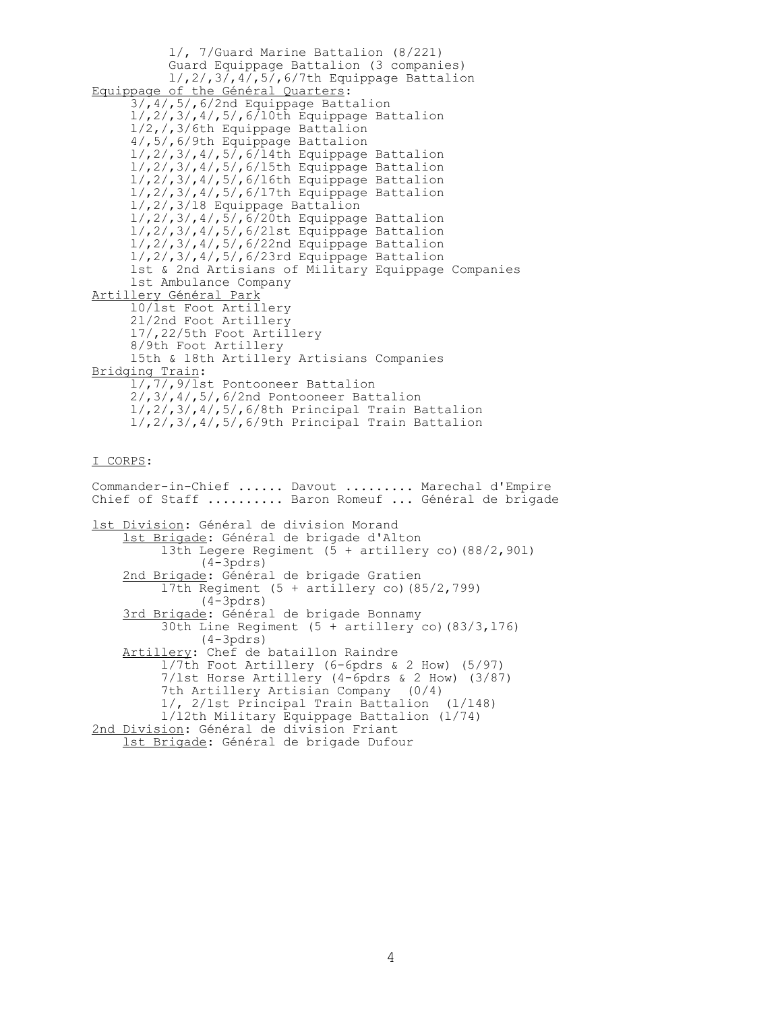l/, 7/Guard Marine Battalion (8/221) Guard Equippage Battalion (3 companies)  $1/$ ,  $2/$ ,  $3/$ ,  $4/$ ,  $5/$ ,  $6/7$ th Equippage Battalion Equippage of the Général Quarters: 3/,4/,5/,6/2nd Equippage Battalion l/,2/,3/,4/,5/,6/l0th Equippage Battalion l/2,/,3/6th Equippage Battalion 4/,5/,6/9th Equippage Battalion l/,2/,3/,4/,5/,6/l4th Equippage Battalion l/,2/,3/,4/,5/,6/l5th Equippage Battalion l/,2/,3/,4/,5/,6/l6th Equippage Battalion l/,2/,3/,4/,5/,6/l7th Equippage Battalion l/,2/,3/l8 Equippage Battalion l/,2/,3/,4/,5/,6/20th Equippage Battalion l/,2/,3/,4/,5/,6/2lst Equippage Battalion l/,2/,3/,4/,5/,6/22nd Equippage Battalion l/,2/,3/,4/,5/,6/23rd Equippage Battalion lst & 2nd Artisians of Military Equippage Companies lst Ambulance Company Artillery Général Park l0/lst Foot Artillery 2l/2nd Foot Artillery l7/,22/5th Foot Artillery 8/9th Foot Artillery l5th & l8th Artillery Artisians Companies Bridging Train:  $1/\sqrt{77}$ , 9/lst Pontooneer Battalion 2/,3/,4/,5/,6/2nd Pontooneer Battalion l/,2/,3/,4/,5/,6/8th Principal Train Battalion l/,2/,3/,4/,5/,6/9th Principal Train Battalion I CORPS: Commander-in-Chief ...... Davout ......... Marechal d'Empire Chief of Staff .......... Baron Romeuf ... Général de brigade lst Division: Général de division Morand lst Brigade: Général de brigade d'Alton l3th Legere Regiment (5 + artillery co)(88/2,90l) (4-3pdrs) 2nd Brigade: Général de brigade Gratien l7th Regiment (5 + artillery co)(85/2,799) (4-3pdrs) 3rd Brigade: Général de brigade Bonnamy 30th Line Regiment  $(5 + \text{artillery co})$   $(83/3,176)$  (4-3pdrs) Artillery: Chef de bataillon Raindre

 l/7th Foot Artillery (6-6pdrs & 2 How) (5/97) 7/lst Horse Artillery (4-6pdrs & 2 How) (3/87) 7th Artillery Artisian Company (0/4) 1/, 2/lst Principal Train Battalion (l/l48) l/l2th Military Equippage Battalion (l/74) 2nd Division: Général de division Friant lst Brigade: Général de brigade Dufour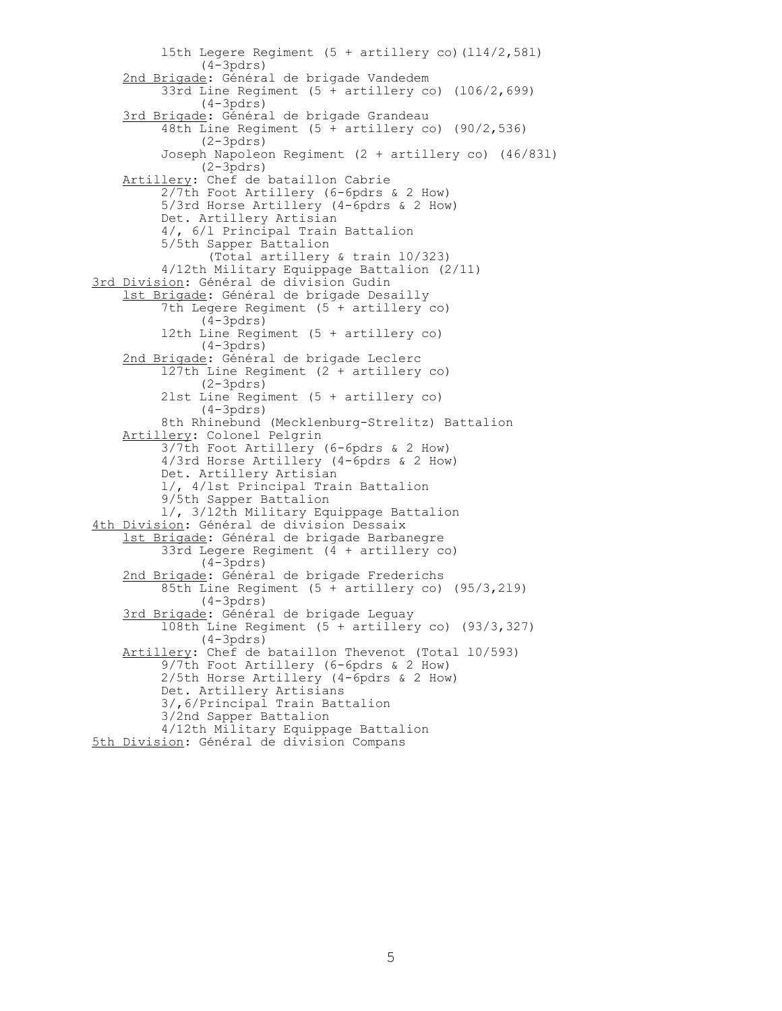l5th Legere Regiment (5 + artillery co)(ll4/2,58l) (4-3pdrs) 2nd Brigade: Général de brigade Vandedem 33rd Line Regiment (5 + artillery co) (l06/2,699) (4-3pdrs) 3rd Brigade: Général de brigade Grandeau 48th Line Regiment (5 + artillery co) (90/2,536) (2-3pdrs) Joseph Napoleon Regiment (2 + artillery co) (46/83l) (2-3pdrs) Artillery: Chef de bataillon Cabrie 2/7th Foot Artillery (6-6pdrs & 2 How) 5/3rd Horse Artillery (4-6pdrs & 2 How) Det. Artillery Artisian 4/, 6/l Principal Train Battalion 5/5th Sapper Battalion (Total artillery & train l0/323) 4/12th Military Equippage Battalion (2/11) 3rd Division: Général de division Gudin lst Brigade: Général de brigade Desailly 7th Legere Regiment (5 + artillery co)  $(4-3pdrs)$  l2th Line Regiment (5 + artillery co) (4-3pdrs) 2nd Brigade: Général de brigade Leclerc l27th Line Regiment (2 + artillery co) (2-3pdrs) 2lst Line Regiment (5 + artillery co) (4-3pdrs) 8th Rhinebund (Mecklenburg-Strelitz) Battalion Artillery: Colonel Pelgrin 3/7th Foot Artillery (6-6pdrs & 2 How) 4/3rd Horse Artillery (4-6pdrs & 2 How) Det. Artillery Artisian l/, 4/lst Principal Train Battalion 9/5th Sapper Battalion l/, 3/l2th Military Equippage Battalion 4th Division: Général de division Dessaix lst Brigade: Général de brigade Barbanegre 33rd Legere Regiment (4 + artillery co) (4-3pdrs) 2nd Brigade: Général de brigade Frederichs 85th Line Regiment (5 + artillery co) (95/3,2l9) (4-3pdrs) 3rd Brigade: Général de brigade Leguay l08th Line Regiment (5 + artillery co) (93/3,327) (4-3pdrs) Artillery: Chef de bataillon Thevenot (Total l0/593) 9/7th Foot Artillery (6-6pdrs & 2 How) 2/5th Horse Artillery (4-6pdrs & 2 How) Det. Artillery Artisians 3/,6/Principal Train Battalion 3/2nd Sapper Battalion 4/12th Military Equippage Battalion 5th Division: Général de division Compans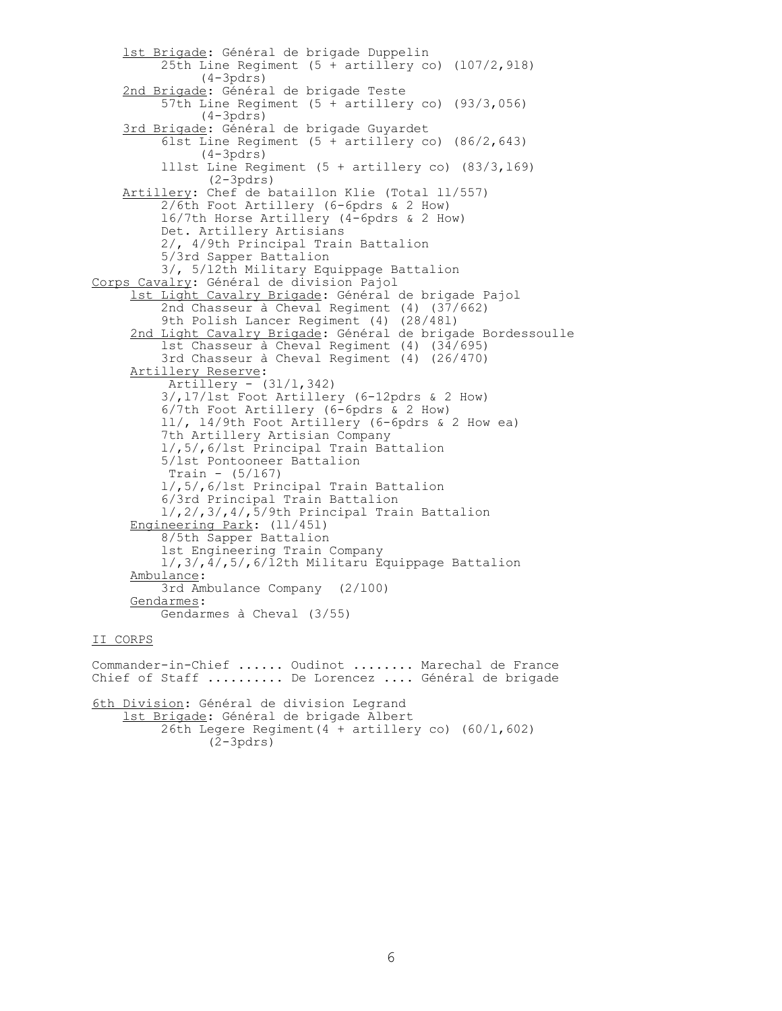lst Brigade: Général de brigade Duppelin 25th Line Regiment  $(5 + artillery co)$   $(107/2, 918)$  (4-3pdrs) 2nd Brigade: Général de brigade Teste 57th Line Regiment (5 + artillery co) (93/3,056) (4-3pdrs) 3rd Brigade: Général de brigade Guyardet 6lst Line Regiment (5 + artillery co) (86/2,643)  $(4-3pdrs)$  lllst Line Regiment (5 + artillery co) (83/3,l69) (2-3pdrs) Artillery: Chef de bataillon Klie (Total ll/557) 2/6th Foot Artillery (6-6pdrs & 2 How) l6/7th Horse Artillery (4-6pdrs & 2 How) Det. Artillery Artisians 2/, 4/9th Principal Train Battalion 5/3rd Sapper Battalion 3/, 5/l2th Military Equippage Battalion Corps Cavalry: Général de division Pajol lst Light Cavalry Brigade: Général de brigade Pajol 2nd Chasseur à Cheval Regiment (4) (37/662) 9th Polish Lancer Regiment (4) (28/48l) 2nd Light Cavalry Brigade: Général de brigade Bordessoulle lst Chasseur à Cheval Regiment (4) (34/695) 3rd Chasseur à Cheval Regiment (4) (26/470) Artillery Reserve: Artillery - (3l/l,342) 3/,l7/lst Foot Artillery (6-12pdrs & 2 How) 6/7th Foot Artillery (6-6pdrs & 2 How) ll/, l4/9th Foot Artillery (6-6pdrs & 2 How ea) 7th Artillery Artisian Company l/,5/,6/lst Principal Train Battalion 5/lst Pontooneer Battalion Train - (5/l67) l/,5/,6/lst Principal Train Battalion 6/3rd Principal Train Battalion l/,2/,3/,4/,5/9th Principal Train Battalion Engineering Park: (ll/45l) 8/5th Sapper Battalion lst Engineering Train Company l/,3/,4/,5/,6/l2th Militaru Equippage Battalion Ambulance: 3rd Ambulance Company (2/l00) Gendarmes: Gendarmes à Cheval (3/55)

## II CORPS

Commander-in-Chief ...... Oudinot ........ Marechal de France Chief of Staff .......... De Lorencez .... Général de brigade 6th Division: Général de division Legrand lst Brigade: Général de brigade Albert  $26th$  Legere Regiment (4 + artillery co) (60/1,602) (2-3pdrs)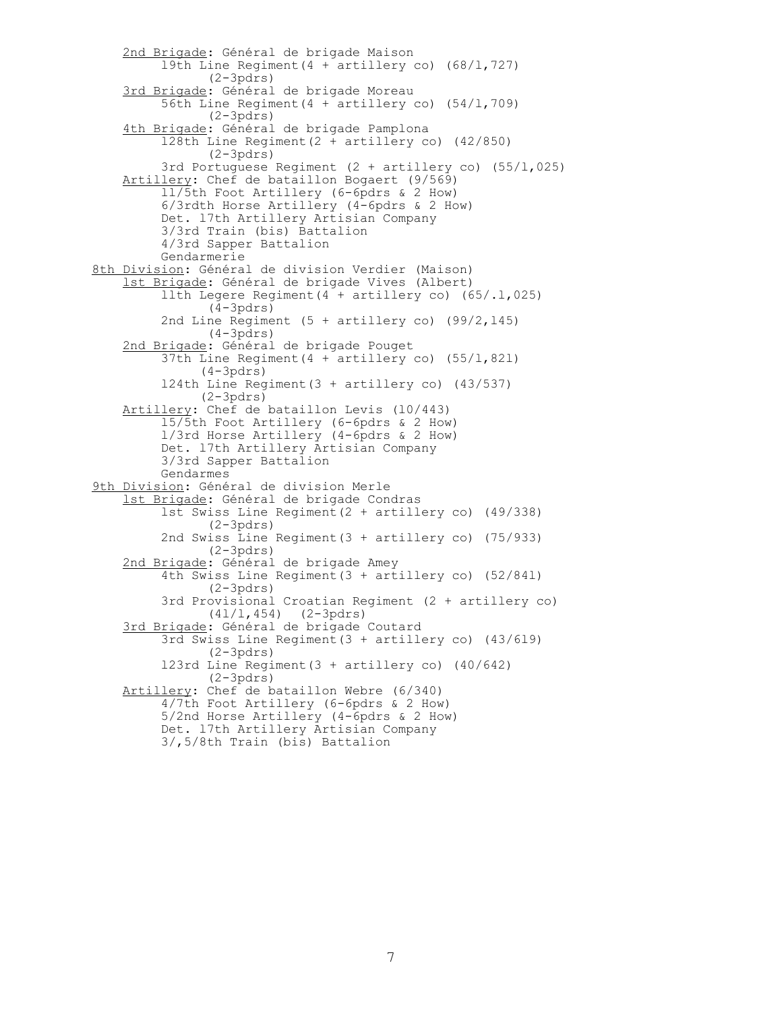2nd Brigade: Général de brigade Maison l9th Line Regiment(4 + artillery co) (68/l,727) (2-3pdrs) 3rd Brigade: Général de brigade Moreau 56th Line Regiment(4 + artillery co) (54/l,709) (2-3pdrs) 4th Brigade: Général de brigade Pamplona l28th Line Regiment(2 + artillery co) (42/850) (2-3pdrs) 3rd Portuguese Regiment (2 + artillery co) (55/l,025) Artillery: Chef de bataillon Bogaert (9/569) ll/5th Foot Artillery (6-6pdrs & 2 How) 6/3rdth Horse Artillery (4-6pdrs & 2 How) Det. l7th Artillery Artisian Company 3/3rd Train (bis) Battalion 4/3rd Sapper Battalion Gendarmerie 8th Division: Général de division Verdier (Maison) lst Brigade: Général de brigade Vives (Albert) llth Legere Regiment(4 + artillery co) (65/.l,025)  $(4-3pdrs)$ 2nd Line Regiment  $(5 + artillery co)$   $(99/2, 145)$  (4-3pdrs) 2nd Brigade: Général de brigade Pouget 37th Line Regiment(4 + artillery co) (55/l,82l) (4-3pdrs) l24th Line Regiment(3 + artillery co) (43/537) (2-3pdrs) Artillery: Chef de bataillon Levis (l0/443) l5/5th Foot Artillery (6-6pdrs & 2 How) l/3rd Horse Artillery (4-6pdrs & 2 How) Det. l7th Artillery Artisian Company 3/3rd Sapper Battalion Gendarmes 9th Division: Général de division Merle lst Brigade: Général de brigade Condras lst Swiss Line Regiment(2 + artillery co) (49/338) (2-3pdrs) 2nd Swiss Line Regiment(3 + artillery co) (75/933) (2-3pdrs) 2nd Brigade: Général de brigade Amey 4th Swiss Line Regiment(3 + artillery co) (52/84l) (2-3pdrs) 3rd Provisional Croatian Regiment (2 + artillery co) (4l/l,454) (2-3pdrs) 3rd Brigade: Général de brigade Coutard 3rd Swiss Line Regiment(3 + artillery co) (43/6l9) (2-3pdrs) l23rd Line Regiment(3 + artillery co) (40/642) (2-3pdrs) Artillery: Chef de bataillon Webre (6/340) 4/7th Foot Artillery (6-6pdrs & 2 How) 5/2nd Horse Artillery (4-6pdrs & 2 How) Det. l7th Artillery Artisian Company 3/,5/8th Train (bis) Battalion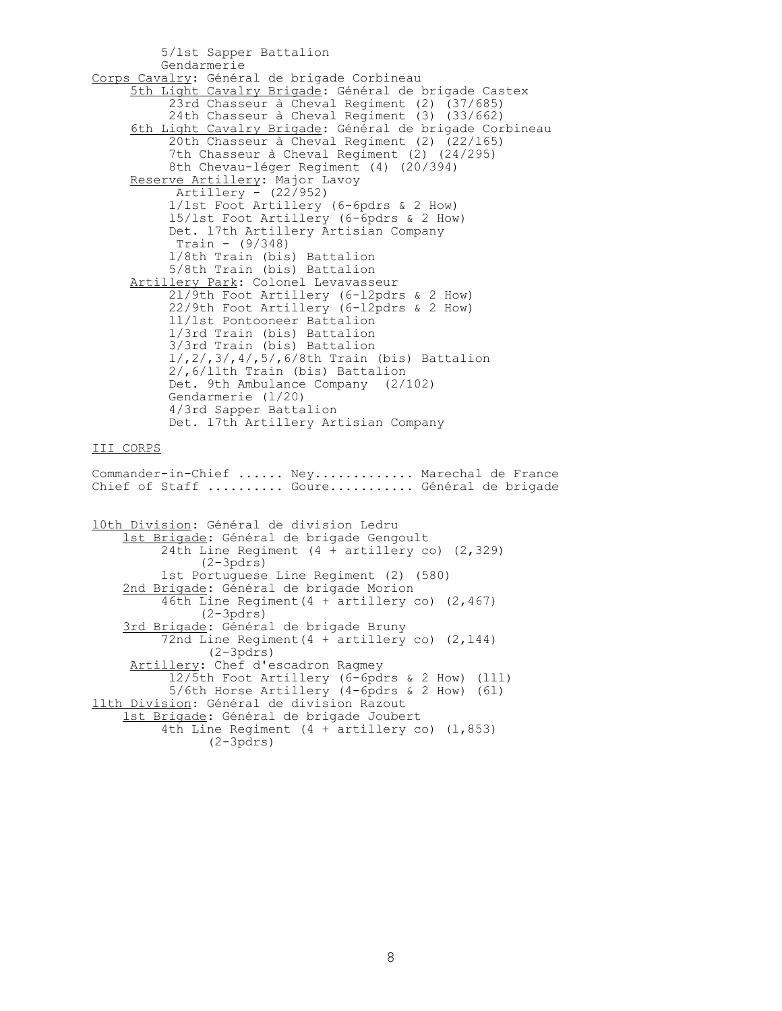5/lst Sapper Battalion Gendarmerie Corps Cavalry: Général de brigade Corbineau 5th Light Cavalry Brigade: Général de brigade Castex 23rd Chasseur à Cheval Regiment (2) (37/685) 24th Chasseur à Cheval Regiment (3) (33/662) 6th Light Cavalry Brigade: Général de brigade Corbineau 20th Chasseur à Cheval Regiment (2) (22/l65) 7th Chasseur à Cheval Regiment (2) (24/295) 8th Chevau-léger Regiment (4) (20/394) Reserve Artillery: Major Lavoy Artillery - (22/952) l/lst Foot Artillery (6-6pdrs & 2 How) l5/lst Foot Artillery (6-6pdrs & 2 How) Det. l7th Artillery Artisian Company Train - (9/348) l/8th Train (bis) Battalion 5/8th Train (bis) Battalion Artillery Park: Colonel Levavasseur 2l/9th Foot Artillery (6-l2pdrs & 2 How) 22/9th Foot Artillery (6-l2pdrs & 2 How) ll/lst Pontooneer Battalion l/3rd Train (bis) Battalion 3/3rd Train (bis) Battalion l/,2/,3/,4/,5/,6/8th Train (bis) Battalion 2/,6/llth Train (bis) Battalion Det. 9th Ambulance Company (2/102) Gendarmerie (l/20) 4/3rd Sapper Battalion Det. l7th Artillery Artisian Company III CORPS Commander-in-Chief ...... Ney............. Marechal de France Chief of Staff .......... Goure........... Général de brigade l0th Division: Général de division Ledru lst Brigade: Général de brigade Gengoult 24th Line Regiment (4 + artillery co) (2,329) (2-3pdrs) lst Portuguese Line Regiment (2) (580) 2nd Brigade: Général de brigade Morion 46th Line Regiment(4 + artillery co) (2,467) (2-3pdrs) 3rd Brigade: Général de brigade Bruny 72nd Line Regiment (4 + artillery co) (2,144)  $(2-3p\text{drs})$ Artillery: Chef d'escadron Ragmey l2/5th Foot Artillery (6-6pdrs & 2 How) (lll) 5/6th Horse Artillery (4-6pdrs & 2 How) (6l) llth Division: Général de division Razout lst Brigade: Général de brigade Joubert 4th Line Regiment  $(4 + \text{artillery co})$   $(1, 853)$ (2-3pdrs)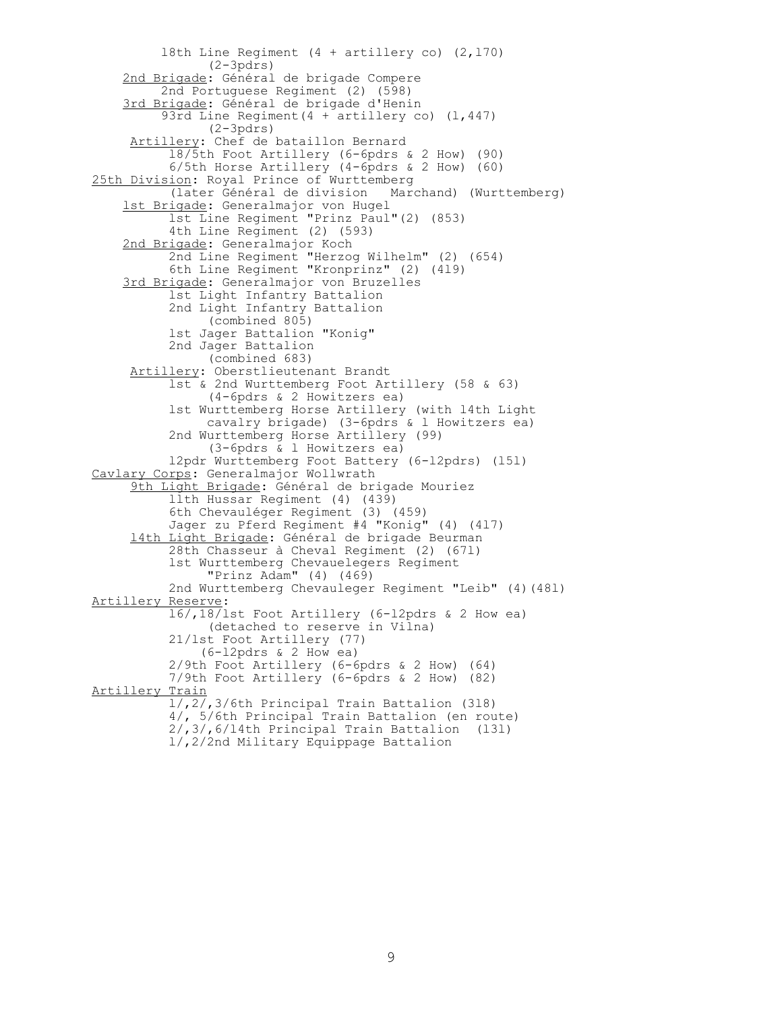l8th Line Regiment (4 + artillery co) (2,l70) (2-3pdrs) 2nd Brigade: Général de brigade Compere 2nd Portuguese Regiment (2) (598) 3rd Brigade: Général de brigade d'Henin 93rd Line Regiment  $(4 +$  artillery co)  $(1, 447)$  (2-3pdrs) Artillery: Chef de bataillon Bernard l8/5th Foot Artillery (6-6pdrs & 2 How) (90) 6/5th Horse Artillery (4-6pdrs & 2 How) (60) 25th Division: Royal Prince of Wurttemberg (later Général de division Marchand) (Wurttemberg) lst Brigade: Generalmajor von Hugel lst Line Regiment "Prinz Paul"(2) (853) 4th Line Regiment (2) (593) 2nd Brigade: Generalmajor Koch 2nd Line Regiment "Herzog Wilhelm" (2) (654) 6th Line Regiment "Kronprinz" (2) (4l9) 3rd Brigade: Generalmajor von Bruzelles lst Light Infantry Battalion 2nd Light Infantry Battalion (combined 805) lst Jager Battalion "Konig" 2nd Jager Battalion (combined 683) Artillery: Oberstlieutenant Brandt lst & 2nd Wurttemberg Foot Artillery (58 & 63) (4-6pdrs & 2 Howitzers ea) lst Wurttemberg Horse Artillery (with l4th Light cavalry brigade) (3-6pdrs & l Howitzers ea) 2nd Wurttemberg Horse Artillery (99) (3-6pdrs & l Howitzers ea) l2pdr Wurttemberg Foot Battery (6-l2pdrs) (l5l) Cavlary Corps: Generalmajor Wollwrath 9th Light Brigade: Général de brigade Mouriez llth Hussar Regiment (4) (439) 6th Chevauléger Regiment (3) (459) Jager zu Pferd Regiment #4 "Konig" (4) (4l7) l4th Light Brigade: Général de brigade Beurman 28th Chasseur à Cheval Regiment (2) (67l) lst Wurttemberg Chevauelegers Regiment "Prinz Adam" (4) (469) 2nd Wurttemberg Chevauleger Regiment "Leib" (4)(48l) Artillery Reserve: l6/,18/lst Foot Artillery (6-l2pdrs & 2 How ea) (detached to reserve in Vilna) 21/lst Foot Artillery (77) (6-l2pdrs & 2 How ea) 2/9th Foot Artillery (6-6pdrs & 2 How) (64) 7/9th Foot Artillery (6-6pdrs & 2 How) (82) Artillery Train l/,2/,3/6th Principal Train Battalion (3l8) 4/, 5/6th Principal Train Battalion (en route) 2/,3/,6/l4th Principal Train Battalion (l3l) l/,2/2nd Military Equippage Battalion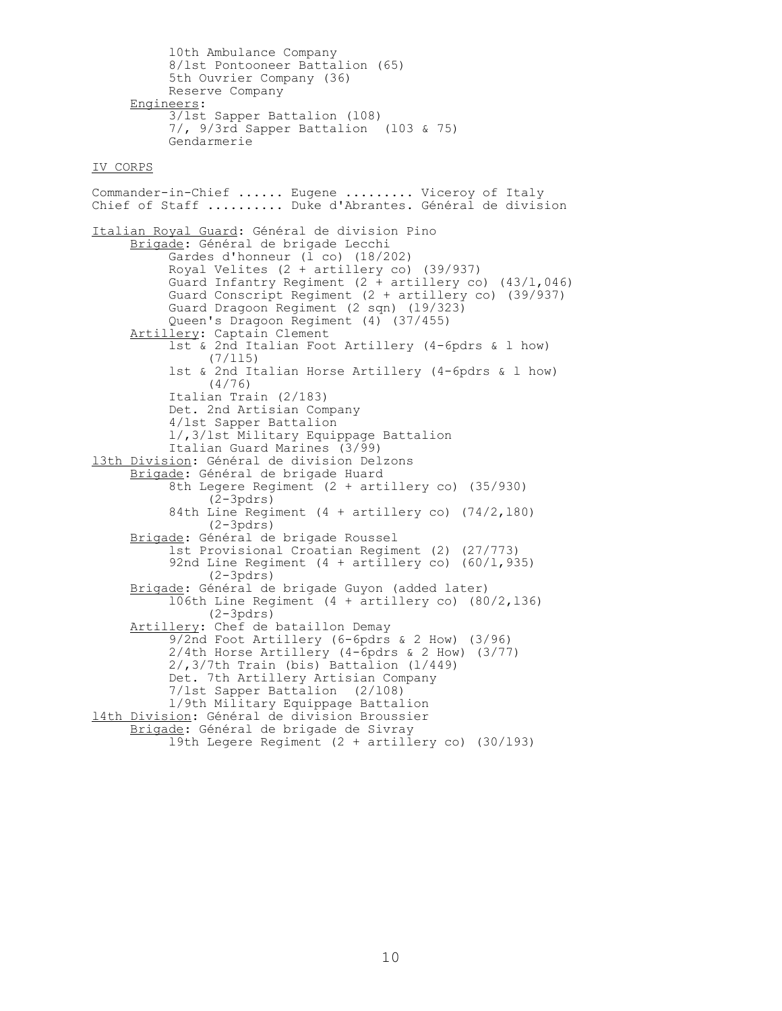l0th Ambulance Company 8/lst Pontooneer Battalion (65) 5th Ouvrier Company (36) Reserve Company Engineers: 3/lst Sapper Battalion (l08) 7/, 9/3rd Sapper Battalion (l03 & 75) Gendarmerie IV CORPS Commander-in-Chief ...... Eugene ......... Viceroy of Italy Chief of Staff .......... Duke d'Abrantes. Général de division Italian Royal Guard: Général de division Pino Brigade: Général de brigade Lecchi Gardes d'honneur (l co) (18/202) Royal Velites (2 + artillery co) (39/937) Guard Infantry Regiment (2 + artillery co) (43/l,046) Guard Conscript Regiment (2 + artillery co) (39/937) Guard Dragoon Regiment (2 sqn) (l9/323) Queen's Dragoon Regiment (4) (37/455) Artillery: Captain Clement lst & 2nd Italian Foot Artillery (4-6pdrs & l how) (7/ll5) lst & 2nd Italian Horse Artillery (4-6pdrs & l how) (4/76) Italian Train (2/183) Det. 2nd Artisian Company 4/lst Sapper Battalion l/,3/lst Military Equippage Battalion Italian Guard Marines (3/99) l3th Division: Général de division Delzons Brigade: Général de brigade Huard 8th Legere Regiment (2 + artillery co) (35/930)  $(2$ -3pdrs $)$  84th Line Regiment (4 + artillery co) (74/2,l80) (2-3pdrs) Brigade: Général de brigade Roussel lst Provisional Croatian Regiment (2) (27/773) 92nd Line Regiment  $(4 + \text{artillery co})$   $(60/1, 935)$  (2-3pdrs) Brigade: Général de brigade Guyon (added later) l06th Line Regiment (4 + artillery co) (80/2,l36) (2-3pdrs) Artillery: Chef de bataillon Demay 9/2nd Foot Artillery (6-6pdrs & 2 How) (3/96) 2/4th Horse Artillery (4-6pdrs & 2 How) (3/77) 2/,3/7th Train (bis) Battalion (l/449) Det. 7th Artillery Artisian Company 7/lst Sapper Battalion (2/l08) l/9th Military Equippage Battalion l4th Division: Général de division Broussier Brigade: Général de brigade de Sivray l9th Legere Regiment (2 + artillery co) (30/l93)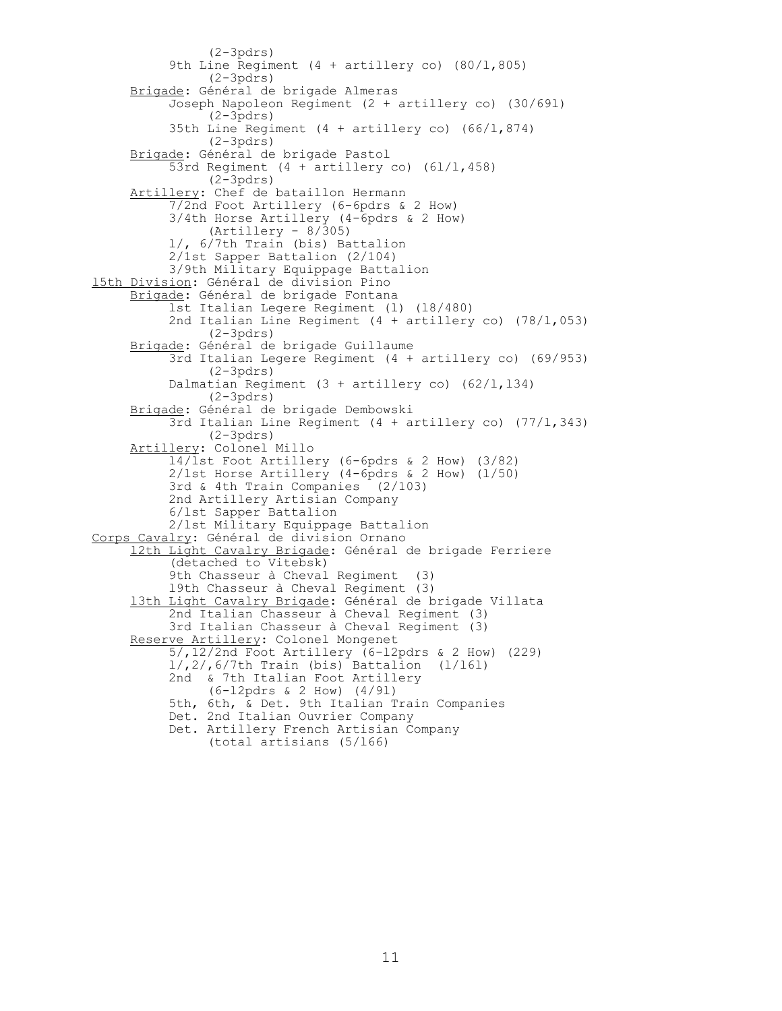(2-3pdrs) 9th Line Regiment (4 + artillery co) (80/1,805) (2-3pdrs) Brigade: Général de brigade Almeras Joseph Napoleon Regiment (2 + artillery co) (30/69l) (2-3pdrs) 35th Line Regiment (4 + artillery co) (66/l,874) (2-3pdrs) Brigade: Général de brigade Pastol 53rd Regiment (4 + artillery co) (6l/l,458) (2-3pdrs) Artillery: Chef de bataillon Hermann 7/2nd Foot Artillery (6-6pdrs & 2 How) 3/4th Horse Artillery (4-6pdrs & 2 How)  $(Artillery - 8/305)$  l/, 6/7th Train (bis) Battalion 2/1st Sapper Battalion (2/104) 3/9th Military Equippage Battalion l5th Division: Général de division Pino Brigade: Général de brigade Fontana lst Italian Legere Regiment (l) (l8/480) 2nd Italian Line Regiment (4 + artillery co) (78/l,053) (2-3pdrs) Brigade: Général de brigade Guillaume 3rd Italian Legere Regiment (4 + artillery co) (69/953) (2-3pdrs) Dalmatian Regiment  $(3 + artillery co)$   $(62/l, 134)$  (2-3pdrs) Brigade: Général de brigade Dembowski 3rd Italian Line Regiment (4 + artillery co) (77/l,343) (2-3pdrs) Artillery: Colonel Millo l4/lst Foot Artillery (6-6pdrs & 2 How) (3/82) 2/lst Horse Artillery (4-6pdrs & 2 How) (l/50) 3rd & 4th Train Companies (2/103) 2nd Artillery Artisian Company 6/lst Sapper Battalion 2/lst Military Equippage Battalion Corps Cavalry: Général de division Ornano l2th Light Cavalry Brigade: Général de brigade Ferriere (detached to Vitebsk) 9th Chasseur à Cheval Regiment (3) l9th Chasseur à Cheval Regiment (3) l3th Light Cavalry Brigade: Général de brigade Villata 2nd Italian Chasseur à Cheval Regiment (3) 3rd Italian Chasseur à Cheval Regiment (3) Reserve Artillery: Colonel Mongenet 5/,12/2nd Foot Artillery (6-l2pdrs & 2 How) (229)  $1/$ ,  $2/$ ,  $6/7$ th Train (bis) Battalion ( $1/161$ ) 2nd & 7th Italian Foot Artillery (6-l2pdrs & 2 How) (4/9l) 5th, 6th, & Det. 9th Italian Train Companies Det. 2nd Italian Ouvrier Company Det. Artillery French Artisian Company (total artisians (5/l66)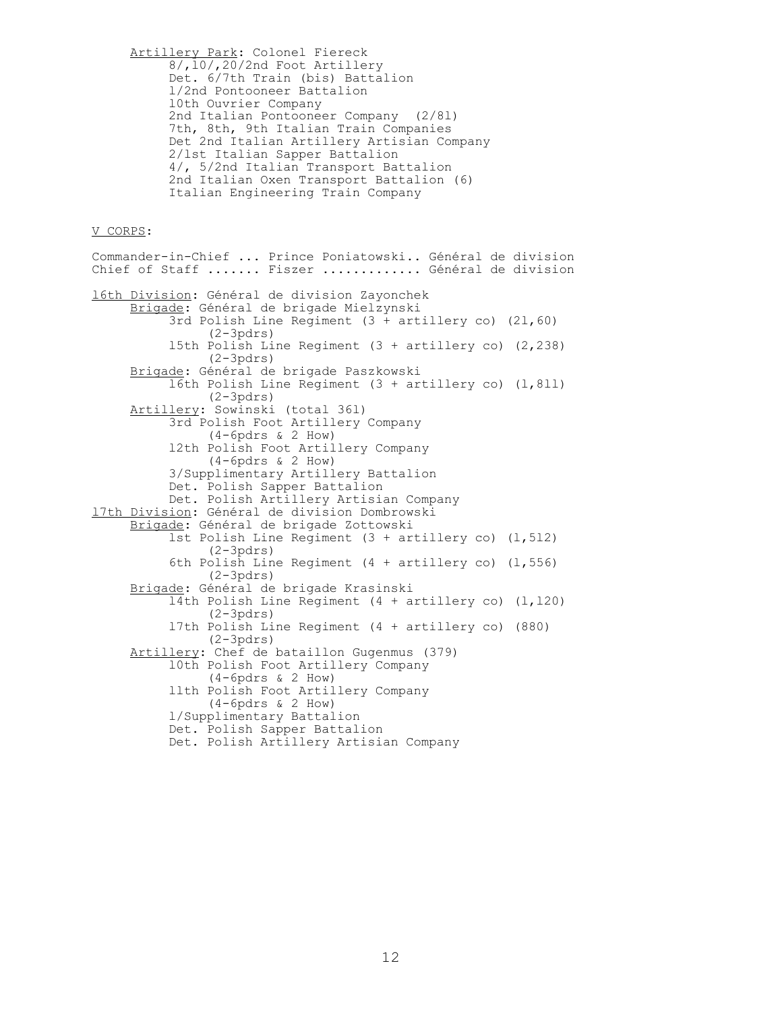Artillery Park: Colonel Fiereck 8/,l0/,20/2nd Foot Artillery Det. 6/7th Train (bis) Battalion l/2nd Pontooneer Battalion l0th Ouvrier Company 2nd Italian Pontooneer Company (2/8l) 7th, 8th, 9th Italian Train Companies Det 2nd Italian Artillery Artisian Company 2/lst Italian Sapper Battalion 4/, 5/2nd Italian Transport Battalion 2nd Italian Oxen Transport Battalion (6) Italian Engineering Train Company

## V CORPS:

Commander-in-Chief ... Prince Poniatowski.. Général de division Chief of Staff ....... Fiszer ............. Général de division l6th Division: Général de division Zayonchek Brigade: Général de brigade Mielzynski 3rd Polish Line Regiment (3 + artillery co) (2l,60) (2-3pdrs) l5th Polish Line Regiment (3 + artillery co) (2,238) (2-3pdrs) Brigade: Général de brigade Paszkowski l6th Polish Line Regiment (3 + artillery co) (l,8ll) (2-3pdrs) Artillery: Sowinski (total 36l) 3rd Polish Foot Artillery Company (4-6pdrs & 2 How) l2th Polish Foot Artillery Company (4-6pdrs & 2 How) 3/Supplimentary Artillery Battalion Det. Polish Sapper Battalion Det. Polish Artillery Artisian Company l7th Division: Général de division Dombrowski Brigade: Général de brigade Zottowski lst Polish Line Regiment  $(3 + \text{artillery co})$   $(1, 512)$  (2-3pdrs) 6th Polish Line Regiment  $(4 + artillery co)$   $(1, 556)$  (2-3pdrs) Brigade: Général de brigade Krasinski l4th Polish Line Regiment (4 + artillery co) (l,l20) (2-3pdrs) l7th Polish Line Regiment (4 + artillery co) (880) (2-3pdrs) Artillery: Chef de bataillon Gugenmus (379) l0th Polish Foot Artillery Company (4-6pdrs & 2 How) llth Polish Foot Artillery Company (4-6pdrs & 2 How) l/Supplimentary Battalion Det. Polish Sapper Battalion Det. Polish Artillery Artisian Company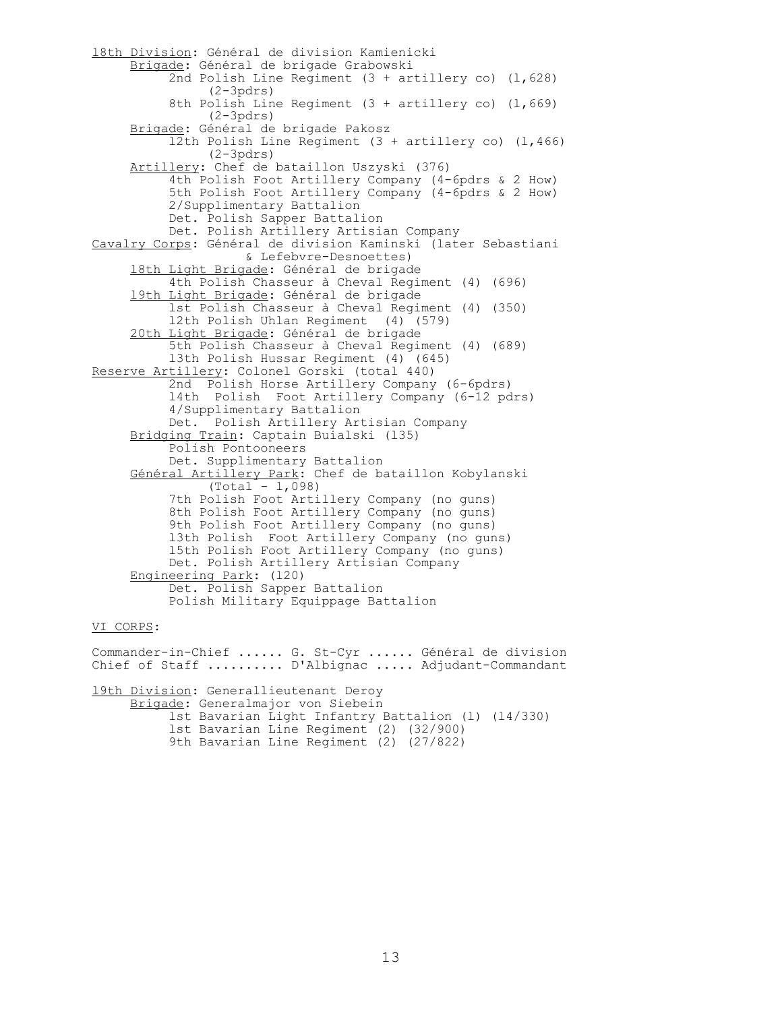l8th Division: Général de division Kamienicki Brigade: Général de brigade Grabowski 2nd Polish Line Regiment  $(3 + \text{artillery co})$   $(1,628)$  (2-3pdrs) 8th Polish Line Regiment (3 + artillery co) (1,669) (2-3pdrs) Brigade: Général de brigade Pakosz l2th Polish Line Regiment (3 + artillery co) (l,466) (2-3pdrs) Artillery: Chef de bataillon Uszyski (376) 4th Polish Foot Artillery Company (4-6pdrs & 2 How) 5th Polish Foot Artillery Company (4-6pdrs & 2 How) 2/Supplimentary Battalion Det. Polish Sapper Battalion Det. Polish Artillery Artisian Company Cavalry Corps: Général de division Kaminski (later Sebastiani & Lefebvre-Desnoettes) l8th Light Brigade: Général de brigade 4th Polish Chasseur à Cheval Regiment (4) (696) l9th Light Brigade: Général de brigade lst Polish Chasseur à Cheval Regiment (4) (350) l2th Polish Uhlan Regiment (4) (579) 20th Light Brigade: Général de brigade 5th Polish Chasseur à Cheval Regiment (4) (689) l3th Polish Hussar Regiment (4) (645) Reserve Artillery: Colonel Gorski (total 440) 2nd Polish Horse Artillery Company (6-6pdrs) l4th Polish Foot Artillery Company (6-12 pdrs) 4/Supplimentary Battalion Det. Polish Artillery Artisian Company Bridging Train: Captain Buialski (l35) Polish Pontooneers Det. Supplimentary Battalion Général Artillery Park: Chef de bataillon Kobylanski (Total - l,098) 7th Polish Foot Artillery Company (no guns) 8th Polish Foot Artillery Company (no guns) 9th Polish Foot Artillery Company (no guns) l3th Polish Foot Artillery Company (no guns) l5th Polish Foot Artillery Company (no guns) Det. Polish Artillery Artisian Company Engineering Park: (l20) Det. Polish Sapper Battalion Polish Military Equippage Battalion VI CORPS: Commander-in-Chief ...... G. St-Cyr ...... Général de division Chief of Staff .......... D'Albignac ..... Adjudant-Commandant

l9th Division: Generallieutenant Deroy Brigade: Generalmajor von Siebein lst Bavarian Light Infantry Battalion (l) (l4/330) lst Bavarian Line Regiment (2) (32/900) 9th Bavarian Line Regiment (2) (27/822)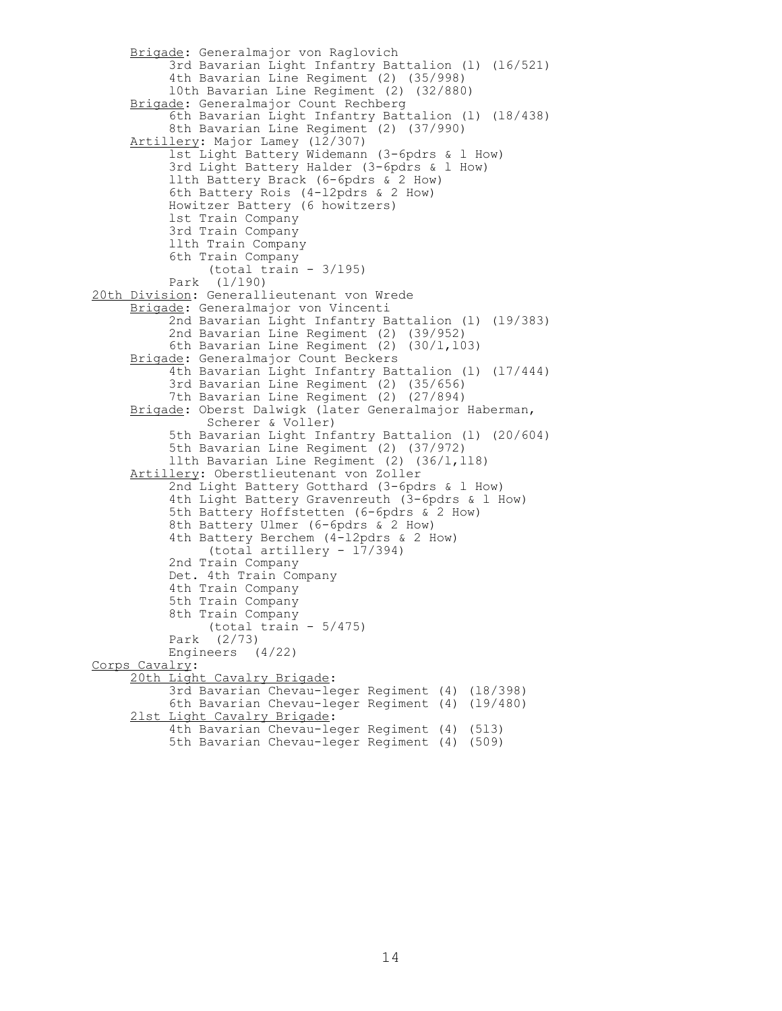```
 Brigade: Generalmajor von Raglovich
           3rd Bavarian Light Infantry Battalion (l) (l6/521)
           4th Bavarian Line Regiment (2) (35/998)
           l0th Bavarian Line Regiment (2) (32/880)
      Brigade: Generalmajor Count Rechberg
           6th Bavarian Light Infantry Battalion (l) (l8/438)
           8th Bavarian Line Regiment (2) (37/990)
 Artillery: Major Lamey (l2/307)
 lst Light Battery Widemann (3-6pdrs & l How)
           3rd Light Battery Halder (3-6pdrs & l How)
           llth Battery Brack (6-6pdrs & 2 How)
           6th Battery Rois (4-l2pdrs & 2 How)
           Howitzer Battery (6 howitzers)
           lst Train Company 
           3rd Train Company 
           llth Train Company 
           6th Train Company 
                (total train - 3/l95)
           Park (l/l90)
20th Division: Generallieutenant von Wrede
      Brigade: Generalmajor von Vincenti
           2nd Bavarian Light Infantry Battalion (l) (l9/383)
           2nd Bavarian Line Regiment (2) (39/952)
          6th Bavarian Line Regiment (2) (30/1,103)
      Brigade: Generalmajor Count Beckers
           4th Bavarian Light Infantry Battalion (l) (l7/444)
           3rd Bavarian Line Regiment (2) (35/656)
 7th Bavarian Line Regiment (2) (27/894)
Brigade: Oberst Dalwigk (later Generalmajor Haberman,
                Scherer & Voller)
           5th Bavarian Light Infantry Battalion (l) (20/604)
           5th Bavarian Line Regiment (2) (37/972)
          llth Bavarian Line Regiment (2) (36/1,118)
     Artillery: Oberstlieutenant von Zoller
           2nd Light Battery Gotthard (3-6pdrs & l How)
           4th Light Battery Gravenreuth (3-6pdrs & l How)
           5th Battery Hoffstetten (6-6pdrs & 2 How)
           8th Battery Ulmer (6-6pdrs & 2 How)
           4th Battery Berchem (4-l2pdrs & 2 How)
                (total artillery - l7/394)
           2nd Train Company 
           Det. 4th Train Company 
           4th Train Company 
           5th Train Company 
           8th Train Company 
               (total train -5/475)
           Park (2/73)
           Engineers (4/22)
Corps Cavalry:
      20th Light Cavalry Brigade: 
           3rd Bavarian Chevau-leger Regiment (4) (l8/398)
           6th Bavarian Chevau-leger Regiment (4) (l9/480)
      2lst Light Cavalry Brigade: 
           4th Bavarian Chevau-leger Regiment (4) (5l3)
           5th Bavarian Chevau-leger Regiment (4) (509)
```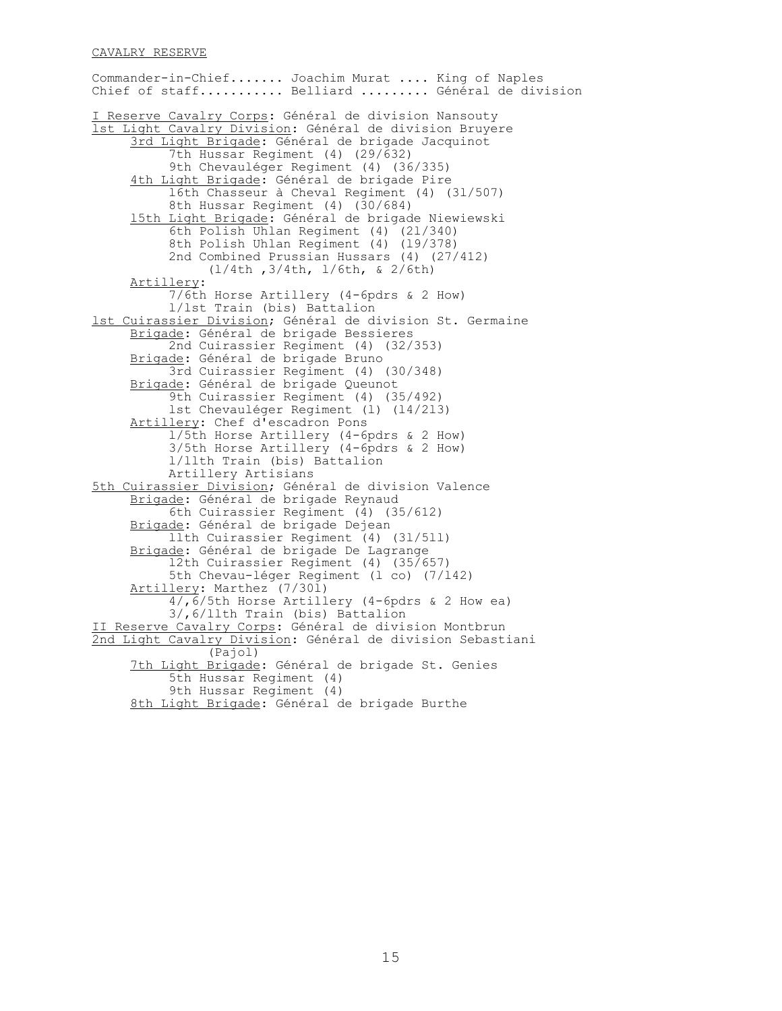## CAVALRY RESERVE

Commander-in-Chief....... Joachim Murat .... King of Naples Chief of staff........... Belliard ......... Général de division I Reserve Cavalry Corps: Général de division Nansouty lst Light Cavalry Division: Général de division Bruyere 3rd Light Brigade: Général de brigade Jacquinot 7th Hussar Regiment (4) (29/632) 9th Chevauléger Regiment (4) (36/335) 4th Light Brigade: Général de brigade Pire l6th Chasseur à Cheval Regiment (4) (3l/507) 8th Hussar Regiment (4) (30/684) l5th Light Brigade: Général de brigade Niewiewski 6th Polish Uhlan Regiment (4) (2l/340) 8th Polish Uhlan Regiment (4) (l9/378) 2nd Combined Prussian Hussars (4) (27/412) (l/4th ,3/4th, l/6th, & 2/6th) Artillery: 7/6th Horse Artillery (4-6pdrs & 2 How) l/lst Train (bis) Battalion lst Cuirassier Division; Général de division St. Germaine Brigade: Général de brigade Bessieres 2nd Cuirassier Regiment (4) (32/353) Brigade: Général de brigade Bruno 3rd Cuirassier Regiment (4) (30/348) Brigade: Général de brigade Queunot 9th Cuirassier Regiment (4) (35/492) lst Chevauléger Regiment (l) (l4/2l3) Artillery: Chef d'escadron Pons l/5th Horse Artillery (4-6pdrs & 2 How) 3/5th Horse Artillery (4-6pdrs & 2 How) l/llth Train (bis) Battalion Artillery Artisians 5th Cuirassier Division; Général de division Valence Brigade: Général de brigade Reynaud 6th Cuirassier Regiment (4) (35/612) Brigade: Général de brigade Dejean llth Cuirassier Regiment (4) (3l/5ll) Brigade: Général de brigade De Lagrange l2th Cuirassier Regiment (4) (35/657) 5th Chevau-léger Regiment (l co) (7/l42) Artillery: Marthez (7/301) 4/,6/5th Horse Artillery (4-6pdrs & 2 How ea) 3/,6/llth Train (bis) Battalion II Reserve Cavalry Corps: Général de division Montbrun 2nd Light Cavalry Division: Général de division Sebastiani (Pajol) 7th Light Brigade: Général de brigade St. Genies 5th Hussar Regiment (4) 9th Hussar Regiment (4) 8th Light Brigade: Général de brigade Burthe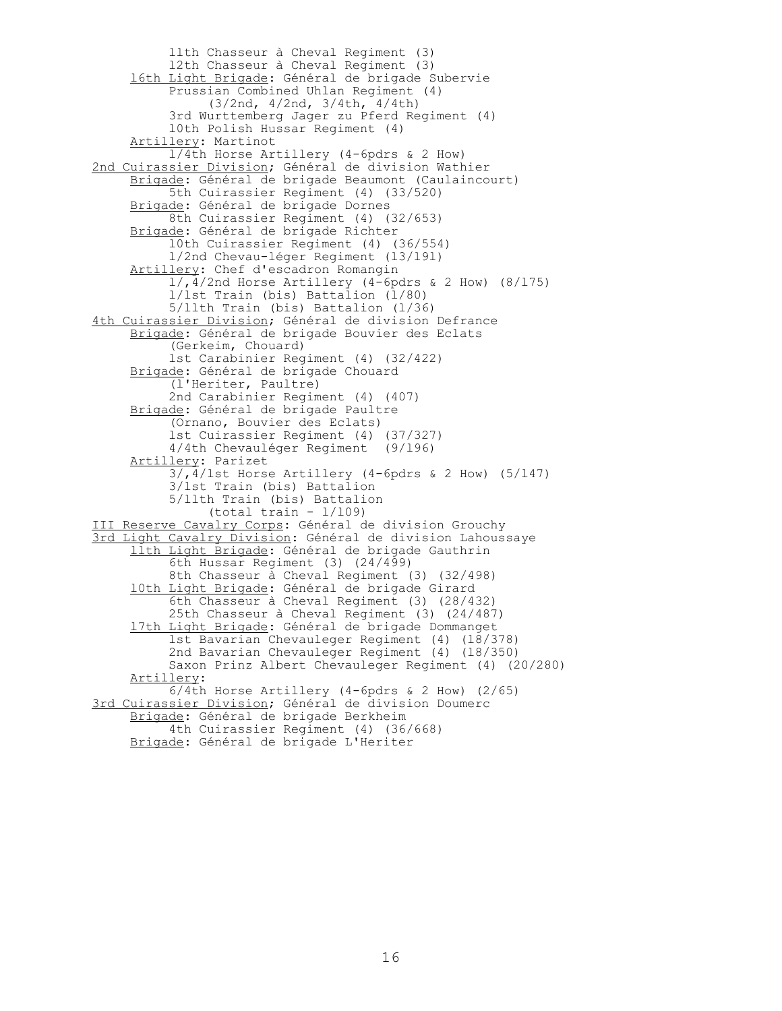llth Chasseur à Cheval Regiment (3) l2th Chasseur à Cheval Regiment (3) l6th Light Brigade: Général de brigade Subervie Prussian Combined Uhlan Regiment (4) (3/2nd, 4/2nd, 3/4th, 4/4th) 3rd Wurttemberg Jager zu Pferd Regiment (4) l0th Polish Hussar Regiment (4) Artillery: Martinot l/4th Horse Artillery (4-6pdrs & 2 How) 2nd Cuirassier Division; Général de division Wathier Brigade: Général de brigade Beaumont (Caulaincourt) 5th Cuirassier Regiment (4) (33/520) Brigade: Général de brigade Dornes 8th Cuirassier Regiment (4) (32/653) Brigade: Général de brigade Richter l0th Cuirassier Regiment (4) (36/554) l/2nd Chevau-léger Regiment (l3/l9l) Artillery: Chef d'escadron Romangin  $\frac{1}{11}$ , 4/2nd Horse Artillery (4-6pdrs & 2 How) (8/175) l/lst Train (bis) Battalion (l/80) 5/llth Train (bis) Battalion (l/36) 4th Cuirassier Division; Général de division Defrance Brigade: Général de brigade Bouvier des Eclats (Gerkeim, Chouard) lst Carabinier Regiment (4) (32/422) Brigade: Général de brigade Chouard (l'Heriter, Paultre) 2nd Carabinier Regiment (4) (407) Brigade: Général de brigade Paultre (Ornano, Bouvier des Eclats) lst Cuirassier Regiment (4) (37/327) 4/4th Chevauléger Regiment (9/l96) Artillery: Parizet 3/,4/lst Horse Artillery (4-6pdrs & 2 How) (5/l47) 3/lst Train (bis) Battalion 5/llth Train (bis) Battalion  $(total train - 1/109)$ III Reserve Cavalry Corps: Général de division Grouchy 3rd Light Cavalry Division: Général de division Lahoussaye llth Light Brigade: Général de brigade Gauthrin 6th Hussar Regiment (3) (24/499) 8th Chasseur à Cheval Regiment (3) (32/498) 10th Light Brigade: Général de brigade Girard 6th Chasseur à Cheval Regiment (3) (28/432) 25th Chasseur à Cheval Regiment (3) (24/487) l7th Light Brigade: Général de brigade Dommanget lst Bavarian Chevauleger Regiment (4) (l8/378) 2nd Bavarian Chevauleger Regiment (4) (l8/350) Saxon Prinz Albert Chevauleger Regiment (4) (20/280) Artillery: 6/4th Horse Artillery (4-6pdrs & 2 How) (2/65) 3rd Cuirassier Division; Général de division Doumerc Brigade: Général de brigade Berkheim 4th Cuirassier Regiment (4) (36/668) Brigade: Général de brigade L'Heriter